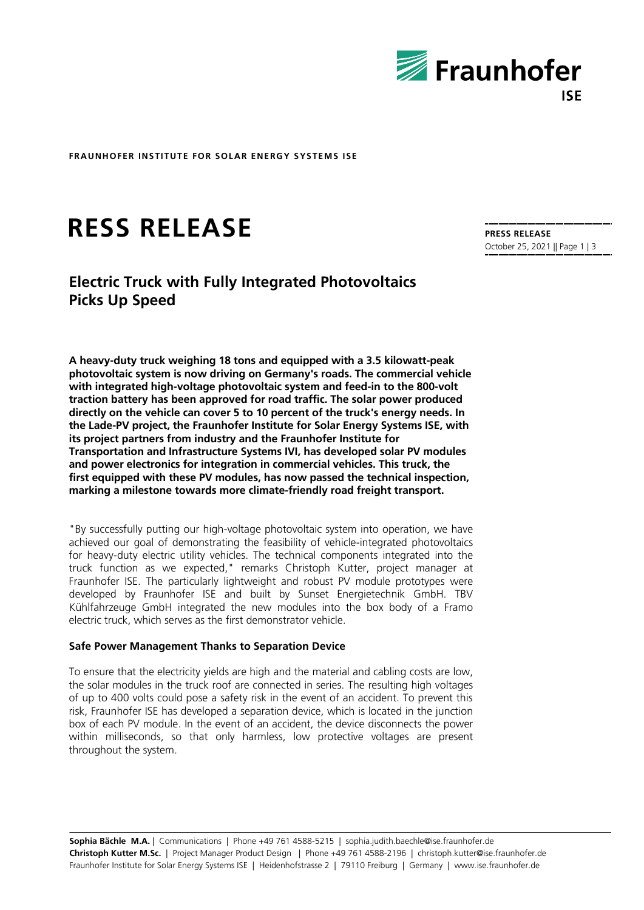

**FRAUNHOFER INSTITUTE FOR SOLAR ENERGY SYSTEMS ISE**

# **RESS RELEASE**

# **Electric Truck with Fully Integrated Photovoltaics Picks Up Speed**

**A heavy-duty truck weighing 18 tons and equipped with a 3.5 kilowatt-peak photovoltaic system is now driving on Germany's roads. The commercial vehicle with integrated high-voltage photovoltaic system and feed-in to the 800-volt traction battery has been approved for road traffic. The solar power produced directly on the vehicle can cover 5 to 10 percent of the truck's energy needs. In the Lade-PV project, the Fraunhofer Institute for Solar Energy Systems ISE, with its project partners from industry and the Fraunhofer Institute for Transportation and Infrastructure Systems IVI, has developed solar PV modules and power electronics for integration in commercial vehicles. This truck, the first equipped with these PV modules, has now passed the technical inspection, marking a milestone towards more climate-friendly road freight transport.**

"By successfully putting our high-voltage photovoltaic system into operation, we have achieved our goal of demonstrating the feasibility of vehicle-integrated photovoltaics for heavy-duty electric utility vehicles. The technical components integrated into the truck function as we expected," remarks Christoph Kutter, project manager at Fraunhofer ISE. The particularly lightweight and robust PV module prototypes were developed by Fraunhofer ISE and built by Sunset Energietechnik GmbH. TBV Kühlfahrzeuge GmbH integrated the new modules into the box body of a Framo electric truck, which serves as the first demonstrator vehicle.

#### **Safe Power Management Thanks to Separation Device**

To ensure that the electricity yields are high and the material and cabling costs are low, the solar modules in the truck roof are connected in series. The resulting high voltages of up to 400 volts could pose a safety risk in the event of an accident. To prevent this risk, Fraunhofer ISE has developed a separation device, which is located in the junction box of each PV module. In the event of an accident, the device disconnects the power within milliseconds, so that only harmless, low protective voltages are present throughout the system.

**Sophia Bächle M.A.** | Communications | Phone +49 761 4588-5215 | sophia.judith.baechle@ise.fraunhofer.de **Christoph Kutter M.Sc.** | Project Manager Product Design | Phone +49 761 4588-2196 | christoph.kutter@ise.fraunhofer.de Fraunhofer Institute for Solar Energy Systems ISE | Heidenhofstrasse 2 | 79110 Freiburg | Germany | www.ise.fraunhofer.de

**PRESS RELEASE** October 25, 2021 || Page 1 | 3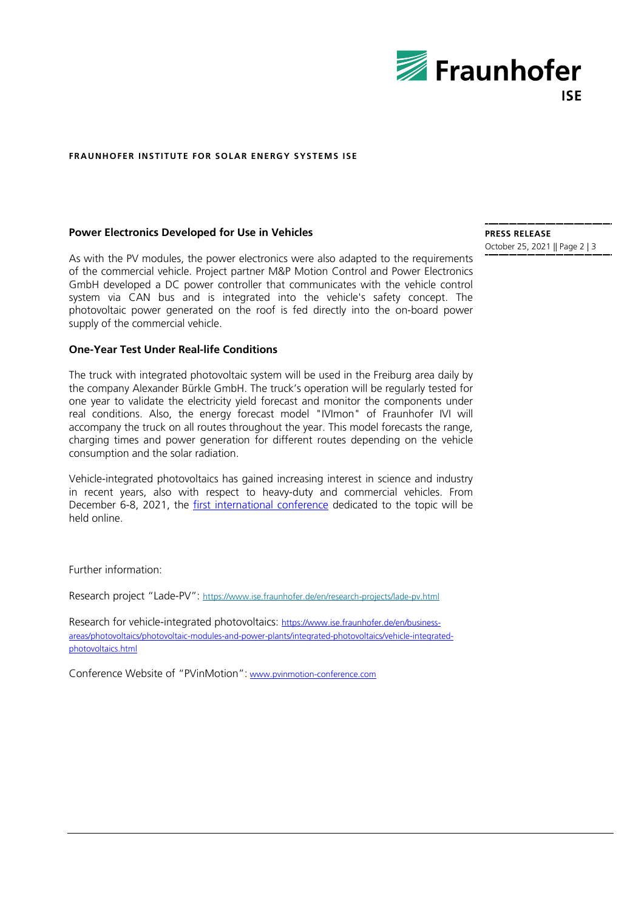

#### **FRAUNHOFER INSTITUTE FOR SOLAR ENERGY SYSTEMS ISE**

#### **Power Electronics Developed for Use in Vehicles**

As with the PV modules, the power electronics were also adapted to the requirements of the commercial vehicle. Project partner M&P Motion Control and Power Electronics GmbH developed a DC power controller that communicates with the vehicle control system via CAN bus and is integrated into the vehicle's safety concept. The photovoltaic power generated on the roof is fed directly into the on-board power supply of the commercial vehicle.

## **One-Year Test Under Real-life Conditions**

The truck with integrated photovoltaic system will be used in the Freiburg area daily by the company Alexander Bürkle GmbH. The truck's operation will be regularly tested for one year to validate the electricity yield forecast and monitor the components under real conditions. Also, the energy forecast model "IVImon" of Fraunhofer IVI will accompany the truck on all routes throughout the year. This model forecasts the range, charging times and power generation for different routes depending on the vehicle consumption and the solar radiation.

Vehicle-integrated photovoltaics has gained increasing interest in science and industry in recent years, also with respect to heavy-duty and commercial vehicles. From December 6-8, 2021, the [first international conference](http://www.pvinmotion-conference.com/) dedicated to the topic will be held online.

Further information:

Research project "Lade-PV": <https://www.ise.fraunhofer.de/en/research-projects/lade-pv.html>

Research for vehicle-integrated photovoltaics: [https://www.ise.fraunhofer.de/en/business](https://www.ise.fraunhofer.de/en/business-areas/photovoltaics/photovoltaic-modules-and-power-plants/integrated-photovoltaics/vehicle-integrated-photovoltaics.html)[areas/photovoltaics/photovoltaic-modules-and-power-plants/integrated-photovoltaics/vehicle-integrated](https://www.ise.fraunhofer.de/en/business-areas/photovoltaics/photovoltaic-modules-and-power-plants/integrated-photovoltaics/vehicle-integrated-photovoltaics.html)[photovoltaics.html](https://www.ise.fraunhofer.de/en/business-areas/photovoltaics/photovoltaic-modules-and-power-plants/integrated-photovoltaics/vehicle-integrated-photovoltaics.html)

Conference Website of "PVinMotion": [www.pvinmotion-conference.com](http://www.pvinmotion-conference.com/)

**PRESS RELEASE** October 25, 2021 || Page 2 | 3